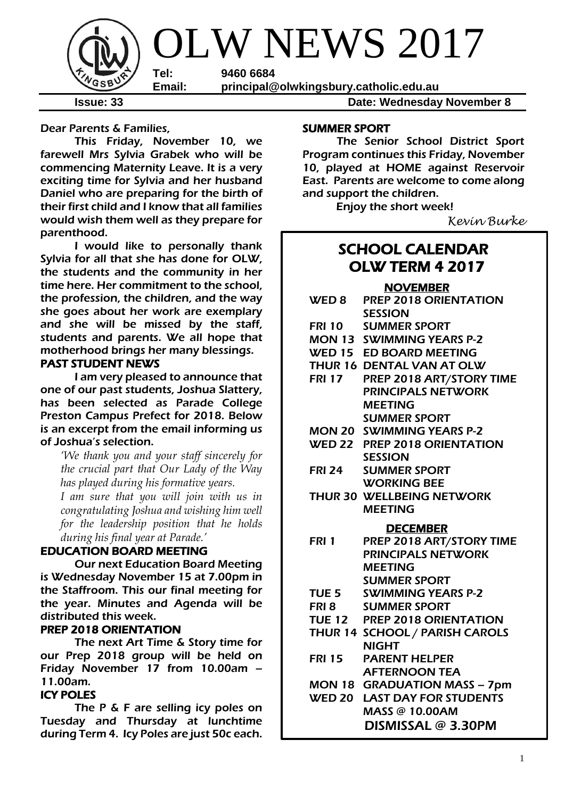

**Issue: 33 Date: Wednesday November 8** 

Dear Parents & Families,

This Friday, November 10, we farewell Mrs Sylvia Grabek who will be commencing Maternity Leave. It is a very exciting time for Sylvia and her husband Daniel who are preparing for the birth of their first child and I know that all families would wish them well as they prepare for parenthood.

I would like to personally thank Sylvia for all that she has done for OLW, the students and the community in her time here. Her commitment to the school, the profession, the children, and the way she goes about her work are exemplary and she will be missed by the staff, students and parents. We all hope that motherhood brings her many blessings.

### PAST STUDENT NEWS

I am very pleased to announce that one of our past students, Joshua Slattery, has been selected as Parade College Preston Campus Prefect for 2018. Below is an excerpt from the email informing us of Joshua's selection.

*'We thank you and your staff sincerely for the crucial part that Our Lady of the Way has played during his formative years.*

*I am sure that you will join with us in congratulating Joshua and wishing him well for the leadership position that he holds during his final year at Parade.'*

## EDUCATION BOARD MEETING

Our next Education Board Meeting is Wednesday November 15 at 7.00pm in the Staffroom. This our final meeting for the year. Minutes and Agenda will be distributed this week.

### PREP 2018 ORIENTATION

 The next Art Time & Story time for our Prep 2018 group will be held on Friday November 17 from 10.00am – 11.00am.

### ICY POLES

The P & F are selling icy poles on Tuesday and Thursday at lunchtime during Term 4. Icy Poles are just 50c each.

### SUMMER SPORT

The Senior School District Sport Program continues this Friday, November 10, played at HOME against Reservoir East. Parents are welcome to come along and support the children.

Enjoy the short week!

*Kevin Burke*

# SCHOOL CALENDAR OLW TERM 4 2017

### NOVEMBER

|               | <u>NUVEMBER</u>                     |
|---------------|-------------------------------------|
|               | WED 8 PREP 2018 ORIENTATION         |
|               | <b>SESSION</b>                      |
|               | FRI 10 SUMMER SPORT                 |
|               | <b>MON 13 SWIMMING YEARS P-2</b>    |
|               | <b>WED 15 ED BOARD MEETING</b>      |
|               | THUR 16 DENTAL VAN AT OLW           |
|               | FRI 17 PREP 2018 ART/STORY TIME     |
|               | <b>PRINCIPALS NETWORK</b>           |
|               | <b>MEETING</b>                      |
|               | <b>SUMMER SPORT</b>                 |
|               | <b>MON 20 SWIMMING YEARS P-2</b>    |
|               | WED 22 PREP 2018 ORIENTATION        |
|               | <b>SESSION</b>                      |
| <b>FRI 24</b> | <b>SUMMER SPORT</b>                 |
|               | <b>WORKING BEE</b>                  |
|               | THUR 30 WELLBEING NETWORK           |
|               | <b>MEETING</b>                      |
|               | <b>DECEMBER</b>                     |
| <b>FRI 1</b>  | PREP 2018 ART/STORY TIME            |
|               | <b>PRINCIPALS NETWORK</b>           |
|               | <b>MEETING</b>                      |
|               | <b>SUMMER SPORT</b>                 |
|               | TUE 5 SWIMMING YEARS P-2            |
|               | <b>FRI 8 SUMMER SPORT</b>           |
|               | TUE 12 PREP 2018 ORIENTATION        |
|               | THUR 14 SCHOOL / PARISH CAROLS      |
|               | <b>NIGHT</b>                        |
| <b>FRI 15</b> | <b>PARENT HELPER</b>                |
|               | <b>AFTERNOON TEA</b>                |
|               |                                     |
|               | <b>MON 18 GRADUATION MASS - 7pm</b> |
|               | <b>WED 20 LAST DAY FOR STUDENTS</b> |
|               | <b>MASS @ 10.00AM</b>               |
|               | DISMISSAL @ 3.30PM                  |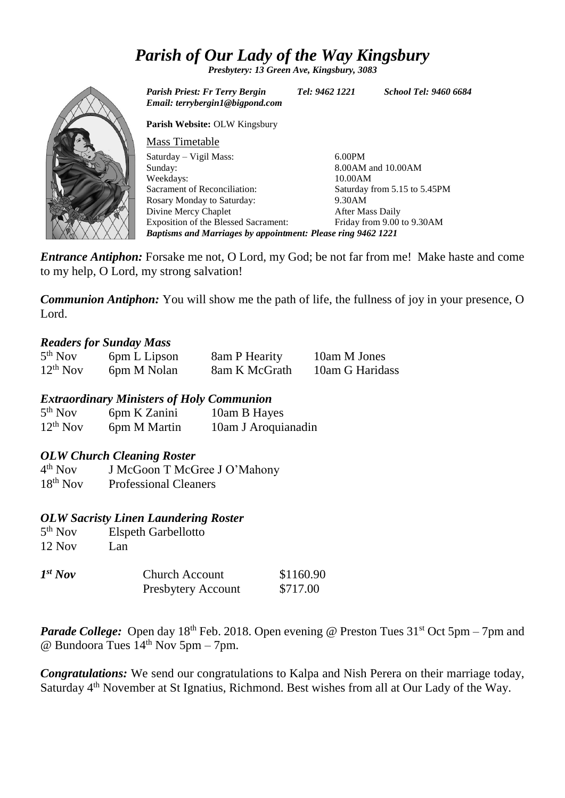# *Parish of Our Lady of the Way Kingsbury*

*Presbytery: 13 Green Ave, Kingsbury, 3083*



*Parish Priest: Fr Terry Bergin Tel: 9462 1221 School Tel: 9460 6684 Email: terrybergin1@bigpond.com* **Parish Website:** OLW Kingsbury Mass Timetable Saturday – Vigil Mass: Sunday: Weekdays: Sacrament of Reconciliation: Rosary Monday to Saturday: Divine Mercy Chaplet Exposition of the Blessed Sacrament: 6.00PM 8.00AM and 10.00AM 10.00AM Saturday from 5.15 to 5.45PM 9.30AM After Mass Daily Friday from 9.00 to 9.30AM *Baptisms and Marriages by appointment: Please ring 9462 1221*

*Entrance Antiphon:* Forsake me not, O Lord, my God; be not far from me! Make haste and come to my help, O Lord, my strong salvation!

*Communion Antiphon:* You will show me the path of life, the fullness of joy in your presence, O Lord.

### *Readers for Sunday Mass*

| 5 <sup>th</sup> Nov | 6pm L Lipson | 8am P Hearity | 10am M Jones    |
|---------------------|--------------|---------------|-----------------|
| $12^{th}$ Nov       | 6pm M Nolan  | 8am K McGrath | 10am G Haridass |

*Extraordinary Ministers of Holy Communion*

| 5 <sup>th</sup> Nov | 6pm K Zanini | 10am B Hayes        |
|---------------------|--------------|---------------------|
| $12^{th}$ Nov       | 6pm M Martin | 10am J Aroquianadin |

### *OLW Church Cleaning Roster*

 $4<sup>th</sup>$  Nov J McGoon T McGree J O'Mahony 18th Nov Professional Cleaners

### *OLW Sacristy Linen Laundering Roster*

| 5 <sup>th</sup> Nov | <b>Elspeth Garbellotto</b> |
|---------------------|----------------------------|
| $12$ Nov            | Lan                        |
| $Tct = T$           | ~1                         |

| $I^{st}$ Nov | <b>Church Account</b>     | \$1160.90 |
|--------------|---------------------------|-----------|
|              | <b>Presbytery Account</b> | \$717.00  |

*Parade College:* Open day 18<sup>th</sup> Feb. 2018. Open evening @ Preston Tues 31<sup>st</sup> Oct 5pm – 7pm and @ Bundoora Tues  $14<sup>th</sup>$  Nov 5pm – 7pm.

*Congratulations:* We send our congratulations to Kalpa and Nish Perera on their marriage today, Saturday 4<sup>th</sup> November at St Ignatius, Richmond. Best wishes from all at Our Lady of the Way.